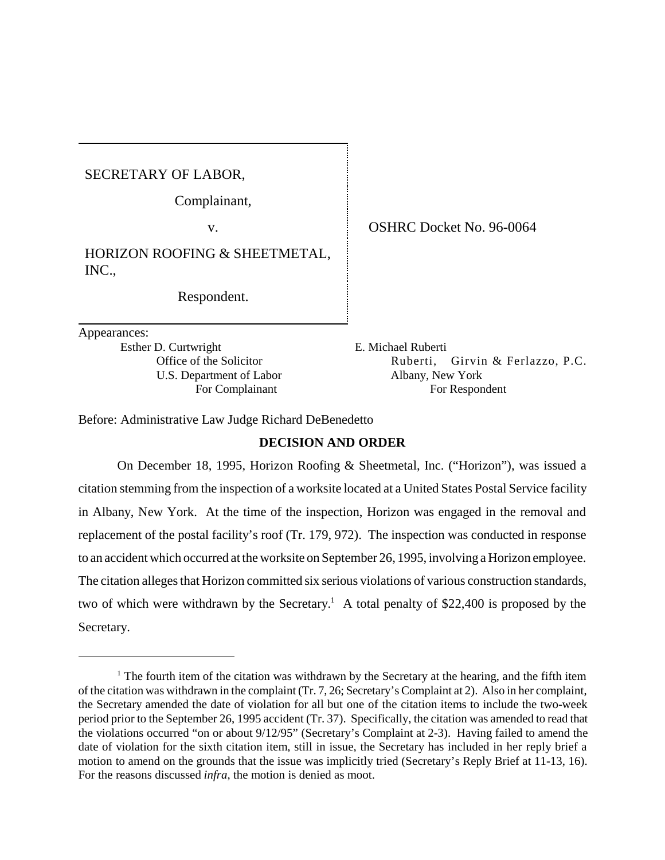SECRETARY OF LABOR,

Complainant,

HORIZON ROOFING & SHEETMETAL, INC.,

Respondent.

Appearances:

Esther D. Curtwright E. Michael Ruberti U.S. Department of Labor Albany, New York

v. **OSHRC Docket No. 96-0064** 

Office of the Solicitor **Ruberti, Girvin & Ferlazzo, P.C.** For Complainant For Respondent

Before: Administrative Law Judge Richard DeBenedetto

# **DECISION AND ORDER**

On December 18, 1995, Horizon Roofing & Sheetmetal, Inc. ("Horizon"), was issued a citation stemming from the inspection of a worksite located at a United States Postal Service facility in Albany, New York. At the time of the inspection, Horizon was engaged in the removal and replacement of the postal facility's roof (Tr. 179, 972). The inspection was conducted in response to an accident which occurred at the worksite on September 26, 1995, involving a Horizon employee. The citation alleges that Horizon committed six serious violations of various construction standards, two of which were withdrawn by the Secretary.<sup>1</sup> A total penalty of \$22,400 is proposed by the Secretary.

<sup>&</sup>lt;sup>1</sup> The fourth item of the citation was withdrawn by the Secretary at the hearing, and the fifth item of the citation was withdrawn in the complaint (Tr. 7, 26; Secretary's Complaint at 2). Also in her complaint, the Secretary amended the date of violation for all but one of the citation items to include the two-week period prior to the September 26, 1995 accident (Tr. 37). Specifically, the citation was amended to read that the violations occurred "on or about 9/12/95" (Secretary's Complaint at 2-3). Having failed to amend the date of violation for the sixth citation item, still in issue, the Secretary has included in her reply brief a motion to amend on the grounds that the issue was implicitly tried (Secretary's Reply Brief at 11-13, 16). For the reasons discussed *infra*, the motion is denied as moot.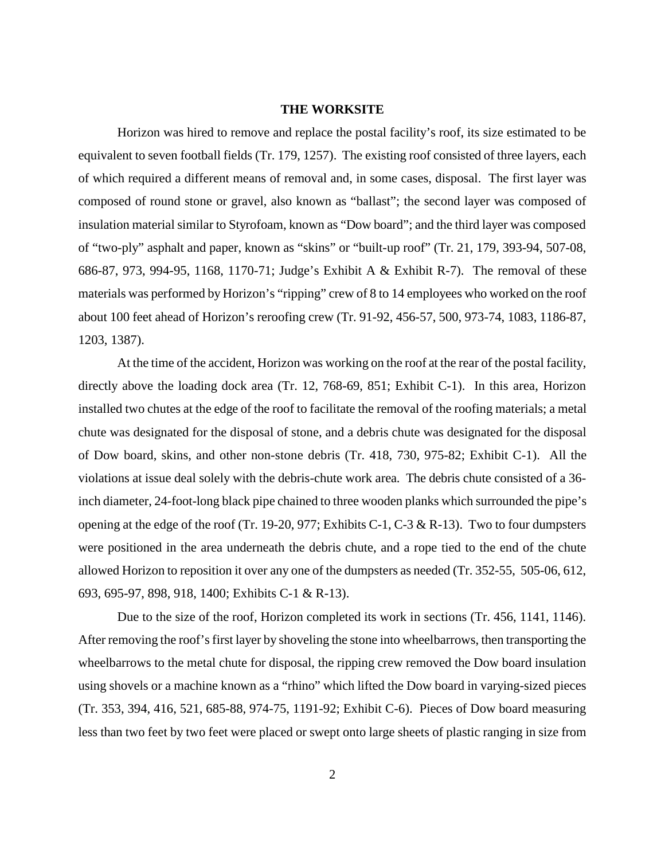#### **THE WORKSITE**

Horizon was hired to remove and replace the postal facility's roof, its size estimated to be equivalent to seven football fields (Tr. 179, 1257). The existing roof consisted of three layers, each of which required a different means of removal and, in some cases, disposal. The first layer was composed of round stone or gravel, also known as "ballast"; the second layer was composed of insulation material similar to Styrofoam, known as "Dow board"; and the third layer was composed of "two-ply" asphalt and paper, known as "skins" or "built-up roof" (Tr. 21, 179, 393-94, 507-08, 686-87, 973, 994-95, 1168, 1170-71; Judge's Exhibit A & Exhibit R-7). The removal of these materials was performed by Horizon's "ripping" crew of 8 to 14 employees who worked on the roof about 100 feet ahead of Horizon's reroofing crew (Tr. 91-92, 456-57, 500, 973-74, 1083, 1186-87, 1203, 1387).

At the time of the accident, Horizon was working on the roof at the rear of the postal facility, directly above the loading dock area (Tr. 12, 768-69, 851; Exhibit C-1). In this area, Horizon installed two chutes at the edge of the roof to facilitate the removal of the roofing materials; a metal chute was designated for the disposal of stone, and a debris chute was designated for the disposal of Dow board, skins, and other non-stone debris (Tr. 418, 730, 975-82; Exhibit C-1). All the violations at issue deal solely with the debris-chute work area. The debris chute consisted of a 36 inch diameter, 24-foot-long black pipe chained to three wooden planks which surrounded the pipe's opening at the edge of the roof (Tr. 19-20, 977; Exhibits C-1, C-3 & R-13). Two to four dumpsters were positioned in the area underneath the debris chute, and a rope tied to the end of the chute allowed Horizon to reposition it over any one of the dumpsters as needed (Tr. 352-55, 505-06, 612, 693, 695-97, 898, 918, 1400; Exhibits C-1 & R-13).

Due to the size of the roof, Horizon completed its work in sections (Tr. 456, 1141, 1146). After removing the roof's first layer by shoveling the stone into wheelbarrows, then transporting the wheelbarrows to the metal chute for disposal, the ripping crew removed the Dow board insulation using shovels or a machine known as a "rhino" which lifted the Dow board in varying-sized pieces (Tr. 353, 394, 416, 521, 685-88, 974-75, 1191-92; Exhibit C-6). Pieces of Dow board measuring less than two feet by two feet were placed or swept onto large sheets of plastic ranging in size from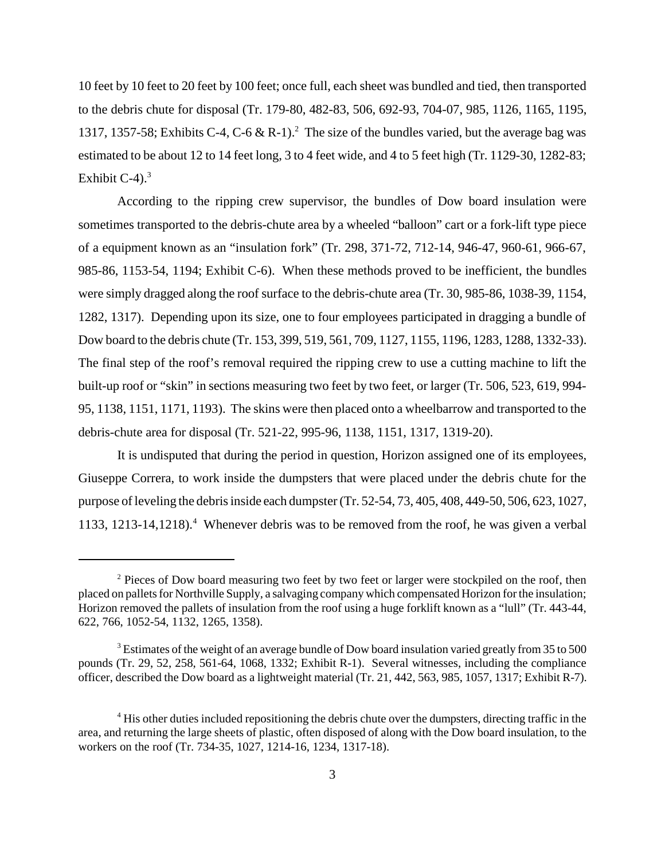10 feet by 10 feet to 20 feet by 100 feet; once full, each sheet was bundled and tied, then transported to the debris chute for disposal (Tr. 179-80, 482-83, 506, 692-93, 704-07, 985, 1126, 1165, 1195, 1317, 1357-58; Exhibits C-4, C-6 & R-1).<sup>2</sup> The size of the bundles varied, but the average bag was estimated to be about 12 to 14 feet long, 3 to 4 feet wide, and 4 to 5 feet high (Tr. 1129-30, 1282-83; Exhibit  $C-4$ ).<sup>3</sup>

According to the ripping crew supervisor, the bundles of Dow board insulation were sometimes transported to the debris-chute area by a wheeled "balloon" cart or a fork-lift type piece of a equipment known as an "insulation fork" (Tr. 298, 371-72, 712-14, 946-47, 960-61, 966-67, 985-86, 1153-54, 1194; Exhibit C-6). When these methods proved to be inefficient, the bundles were simply dragged along the roof surface to the debris-chute area (Tr. 30, 985-86, 1038-39, 1154, 1282, 1317). Depending upon its size, one to four employees participated in dragging a bundle of Dow board to the debris chute (Tr. 153, 399, 519, 561, 709, 1127, 1155, 1196, 1283, 1288, 1332-33). The final step of the roof's removal required the ripping crew to use a cutting machine to lift the built-up roof or "skin" in sections measuring two feet by two feet, or larger (Tr. 506, 523, 619, 994- 95, 1138, 1151, 1171, 1193). The skins were then placed onto a wheelbarrow and transported to the debris-chute area for disposal (Tr. 521-22, 995-96, 1138, 1151, 1317, 1319-20).

It is undisputed that during the period in question, Horizon assigned one of its employees, Giuseppe Correra, to work inside the dumpsters that were placed under the debris chute for the purpose of leveling the debris inside each dumpster (Tr. 52-54, 73, 405, 408, 449-50, 506, 623, 1027, 1133, 1213-14,1218).<sup>4</sup> Whenever debris was to be removed from the roof, he was given a verbal

<sup>&</sup>lt;sup>2</sup> Pieces of Dow board measuring two feet by two feet or larger were stockpiled on the roof, then placed on pallets for Northville Supply, a salvaging company which compensated Horizon for the insulation; Horizon removed the pallets of insulation from the roof using a huge forklift known as a "lull" (Tr. 443-44, 622, 766, 1052-54, 1132, 1265, 1358).

 $3$  Estimates of the weight of an average bundle of Dow board insulation varied greatly from 35 to 500 pounds (Tr. 29, 52, 258, 561-64, 1068, 1332; Exhibit R-1). Several witnesses, including the compliance officer, described the Dow board as a lightweight material (Tr. 21, 442, 563, 985, 1057, 1317; Exhibit R-7).

<sup>&</sup>lt;sup>4</sup> His other duties included repositioning the debris chute over the dumpsters, directing traffic in the area, and returning the large sheets of plastic, often disposed of along with the Dow board insulation, to the workers on the roof (Tr. 734-35, 1027, 1214-16, 1234, 1317-18).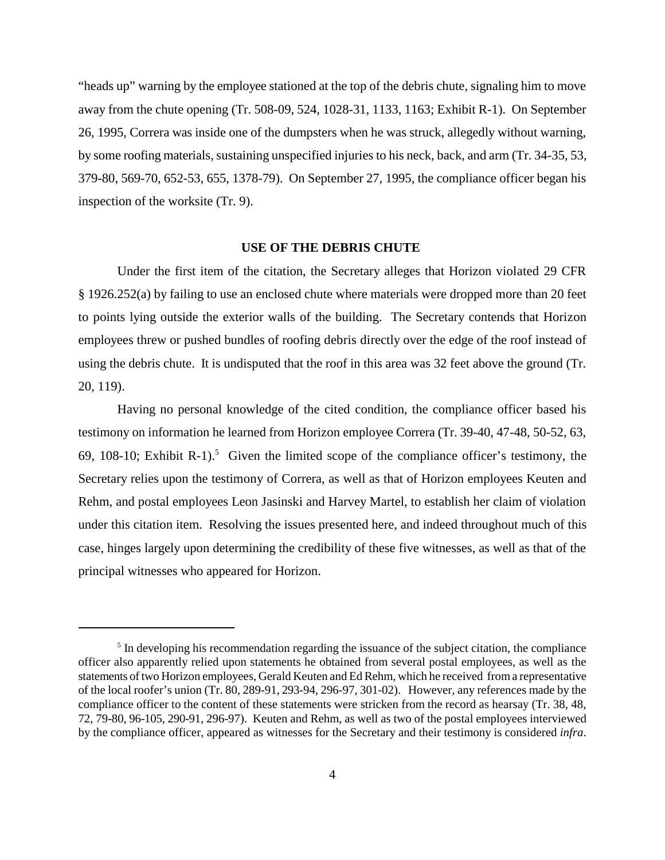"heads up" warning by the employee stationed at the top of the debris chute, signaling him to move away from the chute opening (Tr. 508-09, 524, 1028-31, 1133, 1163; Exhibit R-1). On September 26, 1995, Correra was inside one of the dumpsters when he was struck, allegedly without warning, by some roofing materials, sustaining unspecified injuries to his neck, back, and arm (Tr. 34-35, 53, 379-80, 569-70, 652-53, 655, 1378-79). On September 27, 1995, the compliance officer began his inspection of the worksite (Tr. 9).

#### **USE OF THE DEBRIS CHUTE**

Under the first item of the citation, the Secretary alleges that Horizon violated 29 CFR § 1926.252(a) by failing to use an enclosed chute where materials were dropped more than 20 feet to points lying outside the exterior walls of the building. The Secretary contends that Horizon employees threw or pushed bundles of roofing debris directly over the edge of the roof instead of using the debris chute. It is undisputed that the roof in this area was 32 feet above the ground (Tr. 20, 119).

Having no personal knowledge of the cited condition, the compliance officer based his testimony on information he learned from Horizon employee Correra (Tr. 39-40, 47-48, 50-52, 63, 69, 108-10; Exhibit R-1).<sup>5</sup> Given the limited scope of the compliance officer's testimony, the Secretary relies upon the testimony of Correra, as well as that of Horizon employees Keuten and Rehm, and postal employees Leon Jasinski and Harvey Martel, to establish her claim of violation under this citation item. Resolving the issues presented here, and indeed throughout much of this case, hinges largely upon determining the credibility of these five witnesses, as well as that of the principal witnesses who appeared for Horizon.

<sup>&</sup>lt;sup>5</sup> In developing his recommendation regarding the issuance of the subject citation, the compliance officer also apparently relied upon statements he obtained from several postal employees, as well as the statements of two Horizon employees, Gerald Keuten and Ed Rehm, which he received from a representative of the local roofer's union (Tr. 80, 289-91, 293-94, 296-97, 301-02). However, any references made by the compliance officer to the content of these statements were stricken from the record as hearsay (Tr. 38, 48, 72, 79-80, 96-105, 290-91, 296-97). Keuten and Rehm, as well as two of the postal employees interviewed by the compliance officer, appeared as witnesses for the Secretary and their testimony is considered *infra*.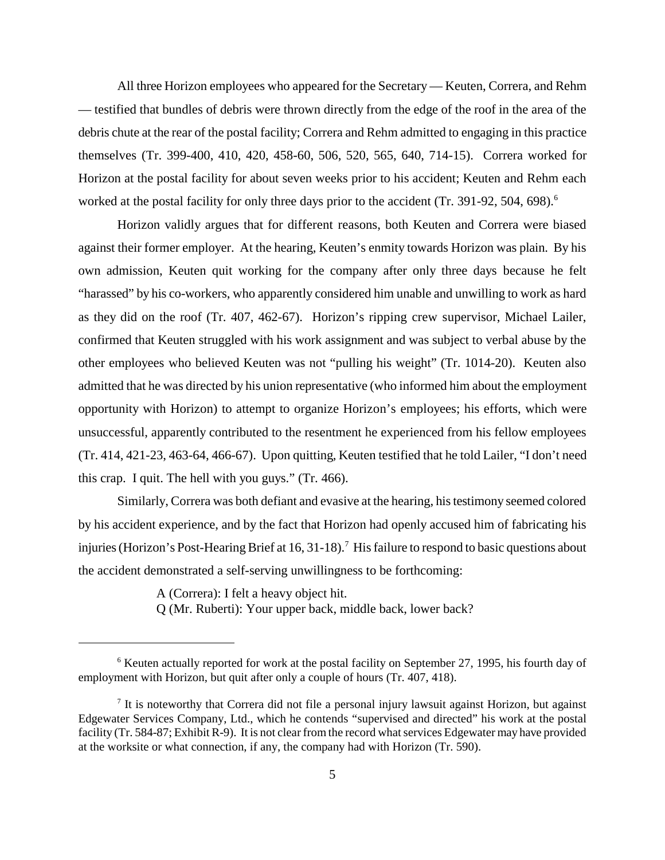All three Horizon employees who appeared for the Secretary — Keuten, Correra, and Rehm — testified that bundles of debris were thrown directly from the edge of the roof in the area of the debris chute at the rear of the postal facility; Correra and Rehm admitted to engaging in this practice themselves (Tr. 399-400, 410, 420, 458-60, 506, 520, 565, 640, 714-15). Correra worked for Horizon at the postal facility for about seven weeks prior to his accident; Keuten and Rehm each worked at the postal facility for only three days prior to the accident (Tr. 391-92, 504, 698).<sup>6</sup>

Horizon validly argues that for different reasons, both Keuten and Correra were biased against their former employer. At the hearing, Keuten's enmity towards Horizon was plain. By his own admission, Keuten quit working for the company after only three days because he felt "harassed" by his co-workers, who apparently considered him unable and unwilling to work as hard as they did on the roof (Tr. 407, 462-67). Horizon's ripping crew supervisor, Michael Lailer, confirmed that Keuten struggled with his work assignment and was subject to verbal abuse by the other employees who believed Keuten was not "pulling his weight" (Tr. 1014-20). Keuten also admitted that he was directed by his union representative (who informed him about the employment opportunity with Horizon) to attempt to organize Horizon's employees; his efforts, which were unsuccessful, apparently contributed to the resentment he experienced from his fellow employees (Tr. 414, 421-23, 463-64, 466-67). Upon quitting, Keuten testified that he told Lailer, "I don't need this crap. I quit. The hell with you guys." (Tr. 466).

Similarly, Correra was both defiant and evasive at the hearing, his testimony seemed colored by his accident experience, and by the fact that Horizon had openly accused him of fabricating his injuries (Horizon's Post-Hearing Brief at 16, 31-18).<sup>7</sup> His failure to respond to basic questions about the accident demonstrated a self-serving unwillingness to be forthcoming:

A (Correra): I felt a heavy object hit.

Q (Mr. Ruberti): Your upper back, middle back, lower back?

<sup>&</sup>lt;sup>6</sup> Keuten actually reported for work at the postal facility on September 27, 1995, his fourth day of employment with Horizon, but quit after only a couple of hours (Tr. 407, 418).

 $<sup>7</sup>$  It is noteworthy that Correra did not file a personal injury lawsuit against Horizon, but against</sup> Edgewater Services Company, Ltd., which he contends "supervised and directed" his work at the postal facility (Tr. 584-87; Exhibit R-9). It is not clear from the record what services Edgewater may have provided at the worksite or what connection, if any, the company had with Horizon (Tr. 590).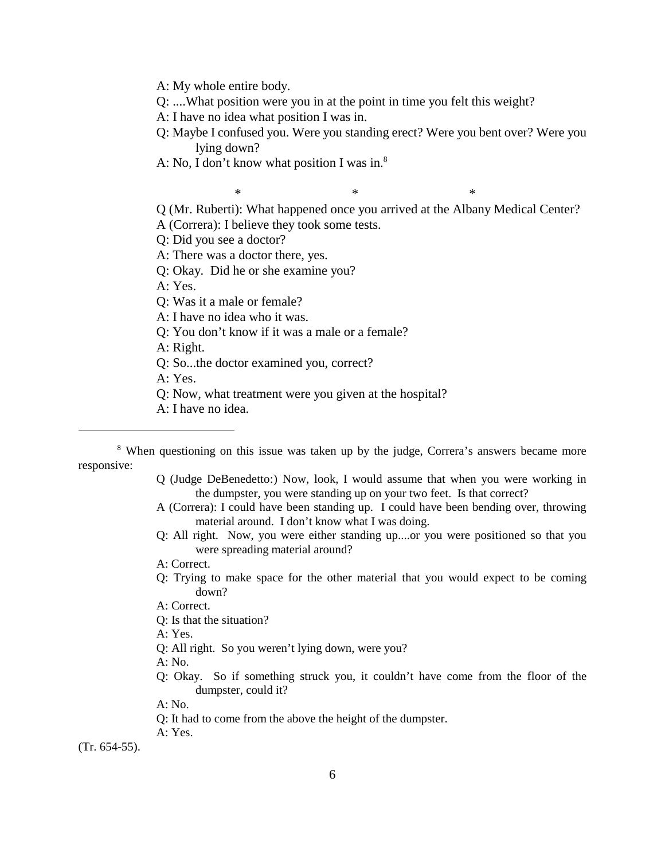A: My whole entire body.

Q: ....What position were you in at the point in time you felt this weight?

A: I have no idea what position I was in.

- Q: Maybe I confused you. Were you standing erect? Were you bent over? Were you lying down?
- A: No, I don't know what position I was in. $8$

 $*$   $*$   $*$ Q (Mr. Ruberti): What happened once you arrived at the Albany Medical Center? A (Correra): I believe they took some tests.

Q: Did you see a doctor?

A: There was a doctor there, yes.

Q: Okay. Did he or she examine you?

A: Yes.

Q: Was it a male or female?

A: I have no idea who it was.

Q: You don't know if it was a male or a female?

A: Right.

Q: So...the doctor examined you, correct?

A: Yes.

Q: Now, what treatment were you given at the hospital?

A: I have no idea.

- Q (Judge DeBenedetto:) Now, look, I would assume that when you were working in the dumpster, you were standing up on your two feet. Is that correct?
- A (Correra): I could have been standing up. I could have been bending over, throwing material around. I don't know what I was doing.
- Q: All right. Now, you were either standing up....or you were positioned so that you were spreading material around?

A: Correct.

Q: Trying to make space for the other material that you would expect to be coming down?

A: Correct.

Q: Is that the situation?

A: Yes.

Q: All right. So you weren't lying down, were you?

A: No.

Q: Okay. So if something struck you, it couldn't have come from the floor of the dumpster, could it?

A: No.

Q: It had to come from the above the height of the dumpster.

A: Yes.

(Tr. 654-55).

<sup>&</sup>lt;sup>8</sup> When questioning on this issue was taken up by the judge, Correra's answers became more responsive: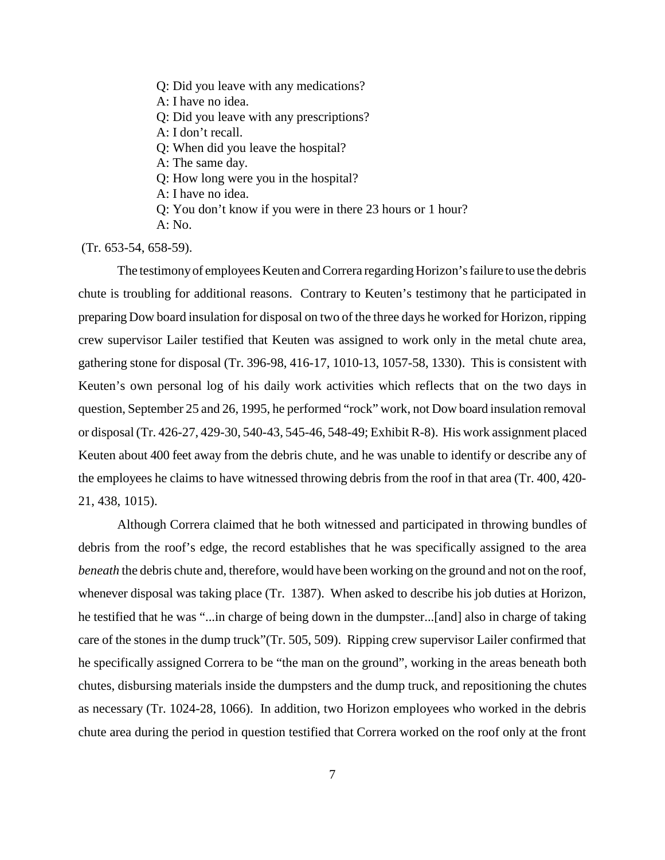Q: Did you leave with any medications?

A: I have no idea.

Q: Did you leave with any prescriptions?

A: I don't recall.

Q: When did you leave the hospital?

A: The same day.

Q: How long were you in the hospital?

A: I have no idea.

Q: You don't know if you were in there 23 hours or 1 hour?

A: No.

(Tr. 653-54, 658-59).

The testimony of employees Keuten and Correra regarding Horizon's failure to use the debris chute is troubling for additional reasons. Contrary to Keuten's testimony that he participated in preparing Dow board insulation for disposal on two of the three days he worked for Horizon, ripping crew supervisor Lailer testified that Keuten was assigned to work only in the metal chute area, gathering stone for disposal (Tr. 396-98, 416-17, 1010-13, 1057-58, 1330). This is consistent with Keuten's own personal log of his daily work activities which reflects that on the two days in question, September 25 and 26, 1995, he performed "rock" work, not Dow board insulation removal or disposal (Tr. 426-27, 429-30, 540-43, 545-46, 548-49; Exhibit R-8). His work assignment placed Keuten about 400 feet away from the debris chute, and he was unable to identify or describe any of the employees he claims to have witnessed throwing debris from the roof in that area (Tr. 400, 420- 21, 438, 1015).

Although Correra claimed that he both witnessed and participated in throwing bundles of debris from the roof's edge, the record establishes that he was specifically assigned to the area *beneath* the debris chute and, therefore, would have been working on the ground and not on the roof, whenever disposal was taking place (Tr. 1387). When asked to describe his job duties at Horizon, he testified that he was "...in charge of being down in the dumpster...[and] also in charge of taking care of the stones in the dump truck"(Tr. 505, 509). Ripping crew supervisor Lailer confirmed that he specifically assigned Correra to be "the man on the ground", working in the areas beneath both chutes, disbursing materials inside the dumpsters and the dump truck, and repositioning the chutes as necessary (Tr. 1024-28, 1066). In addition, two Horizon employees who worked in the debris chute area during the period in question testified that Correra worked on the roof only at the front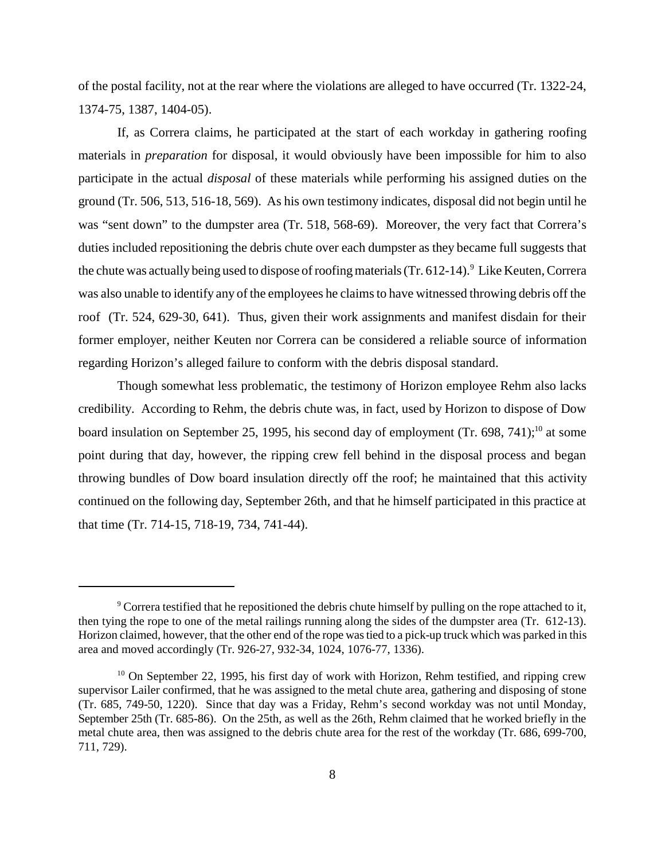of the postal facility, not at the rear where the violations are alleged to have occurred (Tr. 1322-24, 1374-75, 1387, 1404-05).

If, as Correra claims, he participated at the start of each workday in gathering roofing materials in *preparation* for disposal, it would obviously have been impossible for him to also participate in the actual *disposal* of these materials while performing his assigned duties on the ground (Tr. 506, 513, 516-18, 569). As his own testimony indicates, disposal did not begin until he was "sent down" to the dumpster area (Tr. 518, 568-69). Moreover, the very fact that Correra's duties included repositioning the debris chute over each dumpster as they became full suggests that the chute was actually being used to dispose of roofing materials (Tr. 612-14). <sup>9</sup> Like Keuten, Correra was also unable to identify any of the employees he claims to have witnessed throwing debris off the roof (Tr. 524, 629-30, 641). Thus, given their work assignments and manifest disdain for their former employer, neither Keuten nor Correra can be considered a reliable source of information regarding Horizon's alleged failure to conform with the debris disposal standard.

Though somewhat less problematic, the testimony of Horizon employee Rehm also lacks credibility. According to Rehm, the debris chute was, in fact, used by Horizon to dispose of Dow board insulation on September 25, 1995, his second day of employment (Tr. 698, 741);<sup>10</sup> at some point during that day, however, the ripping crew fell behind in the disposal process and began throwing bundles of Dow board insulation directly off the roof; he maintained that this activity continued on the following day, September 26th, and that he himself participated in this practice at that time (Tr. 714-15, 718-19, 734, 741-44).

 $9^9$  Correra testified that he repositioned the debris chute himself by pulling on the rope attached to it, then tying the rope to one of the metal railings running along the sides of the dumpster area (Tr. 612-13). Horizon claimed, however, that the other end of the rope was tied to a pick-up truck which was parked in this area and moved accordingly (Tr. 926-27, 932-34, 1024, 1076-77, 1336).

 $10$  On September 22, 1995, his first day of work with Horizon, Rehm testified, and ripping crew supervisor Lailer confirmed, that he was assigned to the metal chute area, gathering and disposing of stone (Tr. 685, 749-50, 1220). Since that day was a Friday, Rehm's second workday was not until Monday, September 25th (Tr. 685-86). On the 25th, as well as the 26th, Rehm claimed that he worked briefly in the metal chute area, then was assigned to the debris chute area for the rest of the workday (Tr. 686, 699-700, 711, 729).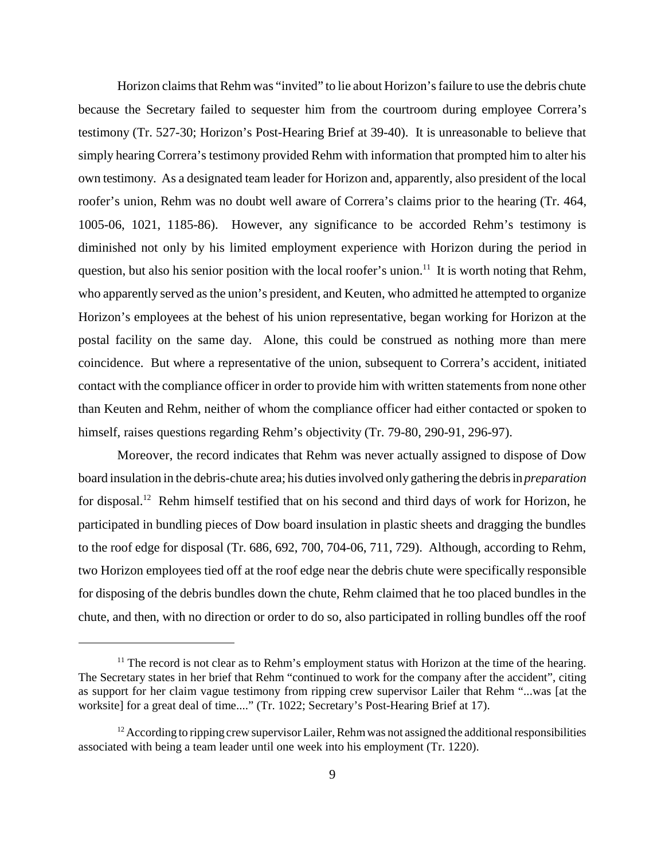Horizon claims that Rehm was "invited" to lie about Horizon's failure to use the debris chute because the Secretary failed to sequester him from the courtroom during employee Correra's testimony (Tr. 527-30; Horizon's Post-Hearing Brief at 39-40). It is unreasonable to believe that simply hearing Correra's testimony provided Rehm with information that prompted him to alter his own testimony. As a designated team leader for Horizon and, apparently, also president of the local roofer's union, Rehm was no doubt well aware of Correra's claims prior to the hearing (Tr. 464, 1005-06, 1021, 1185-86). However, any significance to be accorded Rehm's testimony is diminished not only by his limited employment experience with Horizon during the period in question, but also his senior position with the local roofer's union.<sup>11</sup> It is worth noting that Rehm, who apparently served as the union's president, and Keuten, who admitted he attempted to organize Horizon's employees at the behest of his union representative, began working for Horizon at the postal facility on the same day. Alone, this could be construed as nothing more than mere coincidence. But where a representative of the union, subsequent to Correra's accident, initiated contact with the compliance officer in order to provide him with written statements from none other than Keuten and Rehm, neither of whom the compliance officer had either contacted or spoken to himself, raises questions regarding Rehm's objectivity (Tr. 79-80, 290-91, 296-97).

Moreover, the record indicates that Rehm was never actually assigned to dispose of Dow board insulation in the debris-chute area; his duties involved only gathering the debris in *preparation* for disposal.<sup>12</sup> Rehm himself testified that on his second and third days of work for Horizon, he participated in bundling pieces of Dow board insulation in plastic sheets and dragging the bundles to the roof edge for disposal (Tr. 686, 692, 700, 704-06, 711, 729). Although, according to Rehm, two Horizon employees tied off at the roof edge near the debris chute were specifically responsible for disposing of the debris bundles down the chute, Rehm claimed that he too placed bundles in the chute, and then, with no direction or order to do so, also participated in rolling bundles off the roof

 $11$  The record is not clear as to Rehm's employment status with Horizon at the time of the hearing. The Secretary states in her brief that Rehm "continued to work for the company after the accident", citing as support for her claim vague testimony from ripping crew supervisor Lailer that Rehm "...was [at the worksite] for a great deal of time...." (Tr. 1022; Secretary's Post-Hearing Brief at 17).

 $12$  According to ripping crew supervisor Lailer, Rehm was not assigned the additional responsibilities associated with being a team leader until one week into his employment (Tr. 1220).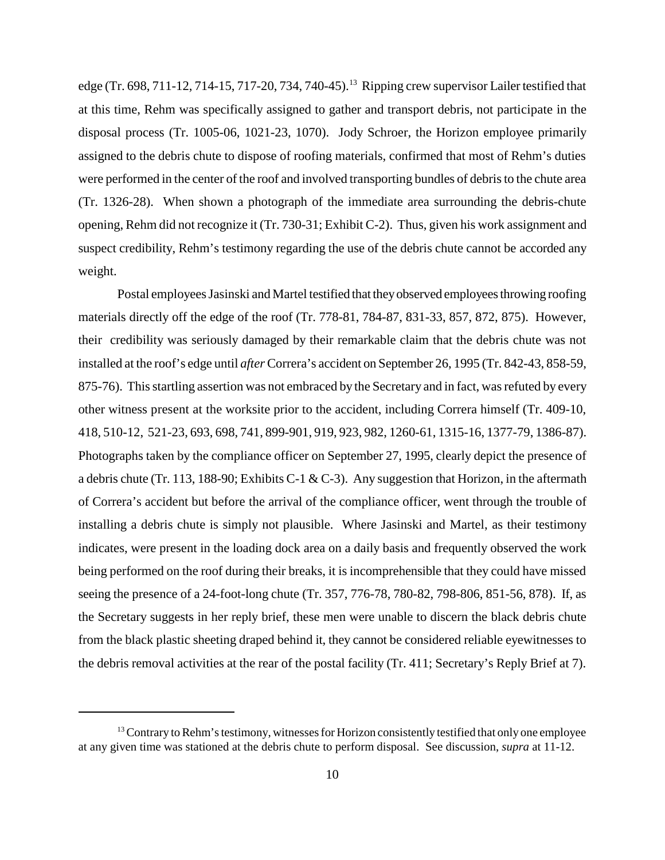edge (Tr. 698, 711-12, 714-15, 717-20, 734, 740-45).<sup>13</sup> Ripping crew supervisor Lailer testified that at this time, Rehm was specifically assigned to gather and transport debris, not participate in the disposal process (Tr. 1005-06, 1021-23, 1070).Jody Schroer, the Horizon employee primarily assigned to the debris chute to dispose of roofing materials, confirmed that most of Rehm's duties were performed in the center of the roof and involved transporting bundles of debris to the chute area (Tr. 1326-28). When shown a photograph of the immediate area surrounding the debris-chute opening, Rehm did not recognize it (Tr. 730-31; Exhibit C-2). Thus, given his work assignment and suspect credibility, Rehm's testimony regarding the use of the debris chute cannot be accorded any weight.

Postal employees Jasinski and Martel testified that they observed employees throwing roofing materials directly off the edge of the roof (Tr. 778-81, 784-87, 831-33, 857, 872, 875). However, their credibility was seriously damaged by their remarkable claim that the debris chute was not installed at the roof's edge until *after* Correra's accident on September 26, 1995 (Tr. 842-43, 858-59, 875-76). This startling assertion was not embraced by the Secretary and in fact, was refuted by every other witness present at the worksite prior to the accident, including Correra himself (Tr. 409-10, 418, 510-12, 521-23, 693, 698, 741, 899-901, 919, 923, 982, 1260-61, 1315-16, 1377-79, 1386-87). Photographs taken by the compliance officer on September 27, 1995, clearly depict the presence of a debris chute (Tr. 113, 188-90; Exhibits C-1 & C-3). Any suggestion that Horizon, in the aftermath of Correra's accident but before the arrival of the compliance officer, went through the trouble of installing a debris chute is simply not plausible. Where Jasinski and Martel, as their testimony indicates, were present in the loading dock area on a daily basis and frequently observed the work being performed on the roof during their breaks, it is incomprehensible that they could have missed seeing the presence of a 24-foot-long chute (Tr. 357, 776-78, 780-82, 798-806, 851-56, 878). If, as the Secretary suggests in her reply brief, these men were unable to discern the black debris chute from the black plastic sheeting draped behind it, they cannot be considered reliable eyewitnesses to the debris removal activities at the rear of the postal facility (Tr. 411; Secretary's Reply Brief at 7).

 $<sup>13</sup>$  Contrary to Rehm's testimony, witnesses for Horizon consistently testified that only one employee</sup> at any given time was stationed at the debris chute to perform disposal. See discussion, *supra* at 11-12.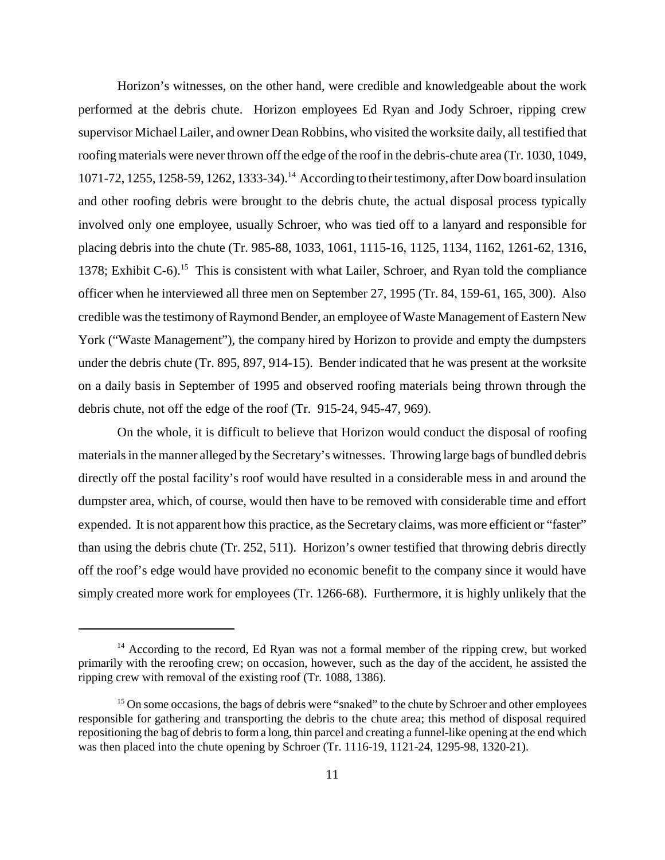Horizon's witnesses, on the other hand, were credible and knowledgeable about the work performed at the debris chute. Horizon employees Ed Ryan and Jody Schroer, ripping crew supervisor Michael Lailer, and owner Dean Robbins, who visited the worksite daily, all testified that roofing materials were never thrown off the edge of the roof in the debris-chute area (Tr. 1030, 1049, 1071-72, 1255, 1258-59, 1262, 1333-34).14 According to their testimony, after Dow board insulation and other roofing debris were brought to the debris chute, the actual disposal process typically involved only one employee, usually Schroer, who was tied off to a lanyard and responsible for placing debris into the chute (Tr. 985-88, 1033, 1061, 1115-16, 1125, 1134, 1162, 1261-62, 1316, 1378; Exhibit C-6).<sup>15</sup> This is consistent with what Lailer, Schroer, and Ryan told the compliance officer when he interviewed all three men on September 27, 1995 (Tr. 84, 159-61, 165, 300). Also credible was the testimony of Raymond Bender, an employee of Waste Management of Eastern New York ("Waste Management"), the company hired by Horizon to provide and empty the dumpsters under the debris chute (Tr. 895, 897, 914-15). Bender indicated that he was present at the worksite on a daily basis in September of 1995 and observed roofing materials being thrown through the debris chute, not off the edge of the roof (Tr. 915-24, 945-47, 969).

On the whole, it is difficult to believe that Horizon would conduct the disposal of roofing materials in the manner alleged by the Secretary's witnesses. Throwing large bags of bundled debris directly off the postal facility's roof would have resulted in a considerable mess in and around the dumpster area, which, of course, would then have to be removed with considerable time and effort expended. It is not apparent how this practice, as the Secretary claims, was more efficient or "faster" than using the debris chute (Tr. 252, 511). Horizon's owner testified that throwing debris directly off the roof's edge would have provided no economic benefit to the company since it would have simply created more work for employees (Tr. 1266-68). Furthermore, it is highly unlikely that the

<sup>&</sup>lt;sup>14</sup> According to the record, Ed Ryan was not a formal member of the ripping crew, but worked primarily with the reroofing crew; on occasion, however, such as the day of the accident, he assisted the ripping crew with removal of the existing roof (Tr. 1088, 1386).

<sup>&</sup>lt;sup>15</sup> On some occasions, the bags of debris were "snaked" to the chute by Schroer and other employees responsible for gathering and transporting the debris to the chute area; this method of disposal required repositioning the bag of debris to form a long, thin parcel and creating a funnel-like opening at the end which was then placed into the chute opening by Schroer (Tr. 1116-19, 1121-24, 1295-98, 1320-21).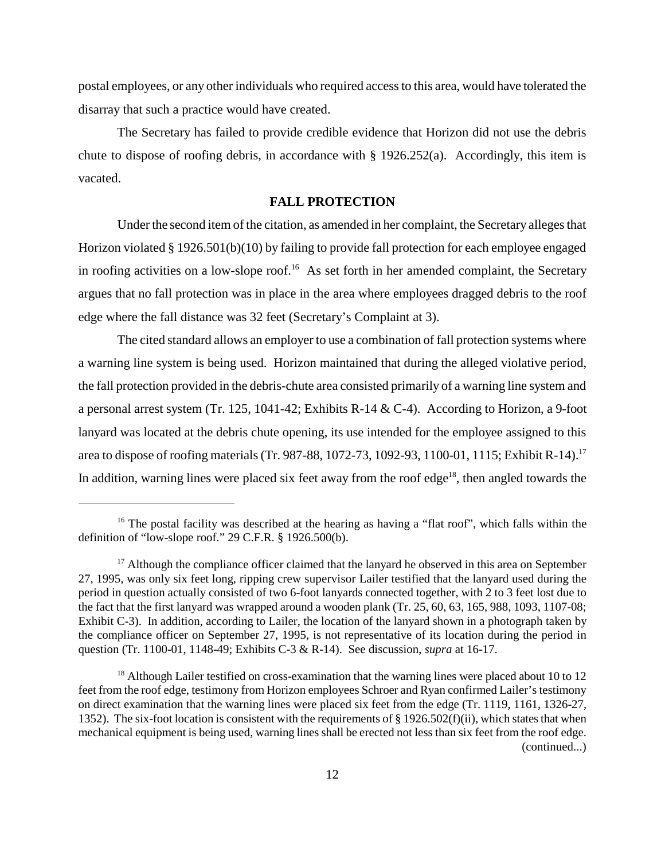postal employees, or any other individuals who required access to this area, would have tolerated the disarray that such a practice would have created.

The Secretary has failed to provide credible evidence that Horizon did not use the debris chute to dispose of roofing debris, in accordance with  $\S$  1926.252(a). Accordingly, this item is vacated.

#### **FALL PROTECTION**

Under the second item of the citation, as amended in her complaint, the Secretary alleges that Horizon violated § 1926.501(b)(10) by failing to provide fall protection for each employee engaged in roofing activities on a low-slope roof.<sup>16</sup> As set forth in her amended complaint, the Secretary argues that no fall protection was in place in the area where employees dragged debris to the roof edge where the fall distance was 32 feet (Secretary's Complaint at 3).

The cited standard allows an employer to use a combination of fall protection systems where a warning line system is being used. Horizon maintained that during the alleged violative period, the fall protection provided in the debris-chute area consisted primarily of a warning line system and a personal arrest system (Tr. 125, 1041-42; Exhibits R-14 & C-4). According to Horizon, a 9-foot lanyard was located at the debris chute opening, its use intended for the employee assigned to this area to dispose of roofing materials (Tr. 987-88, 1072-73, 1092-93, 1100-01, 1115; Exhibit R-14).17 In addition, warning lines were placed six feet away from the roof edge<sup>18</sup>, then angled towards the

<sup>&</sup>lt;sup>16</sup> The postal facility was described at the hearing as having a "flat roof", which falls within the definition of "low-slope roof." 29 C.F.R. § 1926.500(b).

 $17$  Although the compliance officer claimed that the lanyard he observed in this area on September 27, 1995, was only six feet long, ripping crew supervisor Lailer testified that the lanyard used during the period in question actually consisted of two 6-foot lanyards connected together, with 2 to 3 feet lost due to the fact that the first lanyard was wrapped around a wooden plank (Tr. 25, 60, 63, 165, 988, 1093, 1107-08; Exhibit C-3). In addition, according to Lailer, the location of the lanyard shown in a photograph taken by the compliance officer on September 27, 1995, is not representative of its location during the period in question (Tr. 1100-01, 1148-49; Exhibits C-3 & R-14). See discussion, *supra* at 16-17.

<sup>&</sup>lt;sup>18</sup> Although Lailer testified on cross-examination that the warning lines were placed about 10 to 12 feet from the roof edge, testimony from Horizon employees Schroer and Ryan confirmed Lailer's testimony on direct examination that the warning lines were placed six feet from the edge (Tr. 1119, 1161, 1326-27, 1352). The six-foot location is consistent with the requirements of § 1926.502(f)(ii), which states that when mechanical equipment is being used, warning lines shall be erected not less than six feet from the roof edge. (continued...)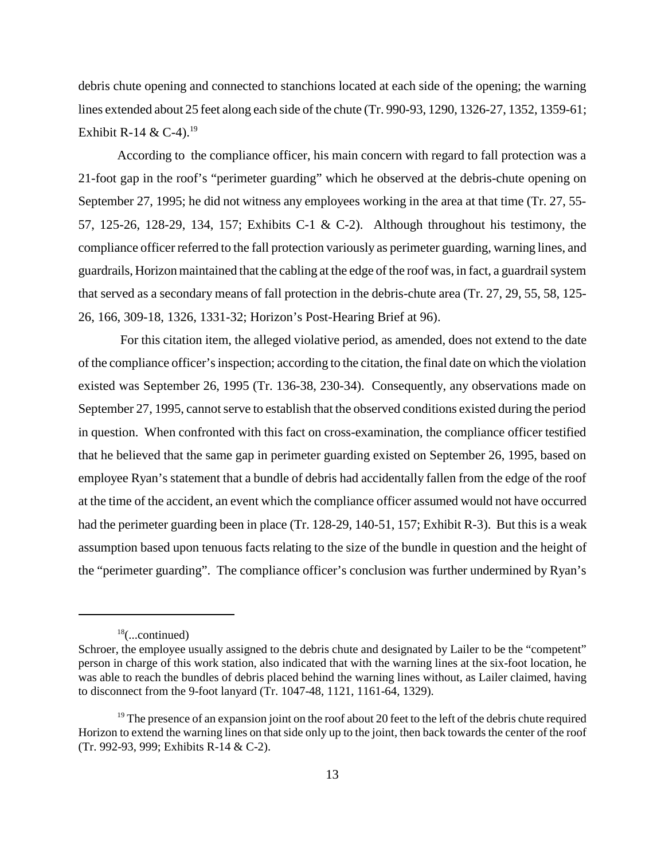debris chute opening and connected to stanchions located at each side of the opening; the warning lines extended about 25 feet along each side of the chute (Tr. 990-93, 1290, 1326-27, 1352, 1359-61; Exhibit R-14 & C-4).<sup>19</sup>

According to the compliance officer, his main concern with regard to fall protection was a 21-foot gap in the roof's "perimeter guarding" which he observed at the debris-chute opening on September 27, 1995; he did not witness any employees working in the area at that time (Tr. 27, 55- 57, 125-26, 128-29, 134, 157; Exhibits C-1 & C-2). Although throughout his testimony, the compliance officer referred to the fall protection variously as perimeter guarding, warning lines, and guardrails, Horizon maintained that the cabling at the edge of the roof was, in fact, a guardrail system that served as a secondary means of fall protection in the debris-chute area (Tr. 27, 29, 55, 58, 125- 26, 166, 309-18, 1326, 1331-32; Horizon's Post-Hearing Brief at 96).

 For this citation item, the alleged violative period, as amended, does not extend to the date of the compliance officer's inspection; according to the citation, the final date on which the violation existed was September 26, 1995 (Tr. 136-38, 230-34). Consequently, any observations made on September 27, 1995, cannot serve to establish that the observed conditions existed during the period in question. When confronted with this fact on cross-examination, the compliance officer testified that he believed that the same gap in perimeter guarding existed on September 26, 1995, based on employee Ryan's statement that a bundle of debris had accidentally fallen from the edge of the roof at the time of the accident, an event which the compliance officer assumed would not have occurred had the perimeter guarding been in place (Tr. 128-29, 140-51, 157; Exhibit R-3). But this is a weak assumption based upon tenuous facts relating to the size of the bundle in question and the height of the "perimeter guarding". The compliance officer's conclusion was further undermined by Ryan's

 $18$ (...continued)

Schroer, the employee usually assigned to the debris chute and designated by Lailer to be the "competent" person in charge of this work station, also indicated that with the warning lines at the six-foot location, he was able to reach the bundles of debris placed behind the warning lines without, as Lailer claimed, having to disconnect from the 9-foot lanyard (Tr. 1047-48, 1121, 1161-64, 1329).

 $19$  The presence of an expansion joint on the roof about 20 feet to the left of the debris chute required Horizon to extend the warning lines on that side only up to the joint, then back towards the center of the roof (Tr. 992-93, 999; Exhibits R-14 & C-2).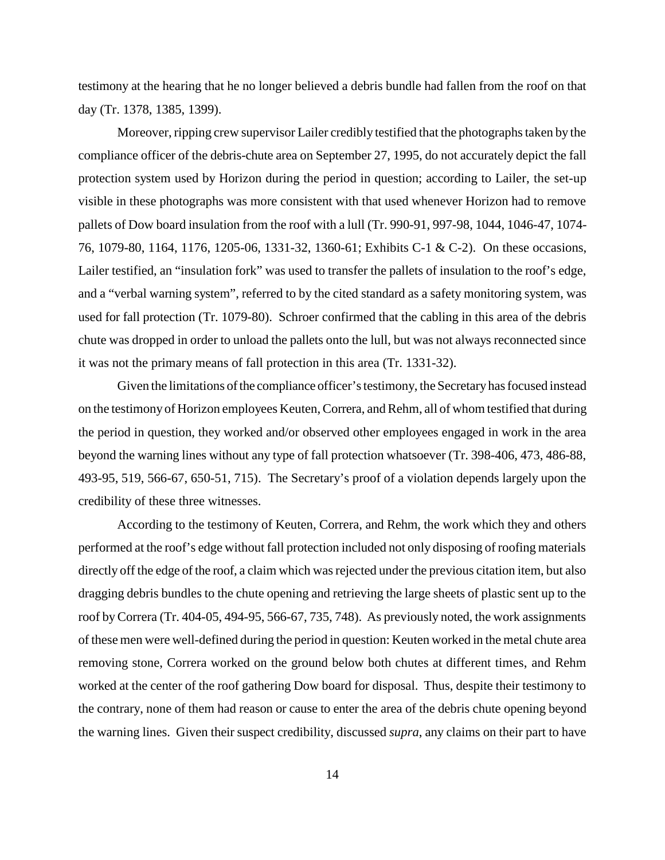testimony at the hearing that he no longer believed a debris bundle had fallen from the roof on that day (Tr. 1378, 1385, 1399).

Moreover, ripping crew supervisor Lailer credibly testified that the photographs taken by the compliance officer of the debris-chute area on September 27, 1995, do not accurately depict the fall protection system used by Horizon during the period in question; according to Lailer, the set-up visible in these photographs was more consistent with that used whenever Horizon had to remove pallets of Dow board insulation from the roof with a lull (Tr. 990-91, 997-98, 1044, 1046-47, 1074- 76, 1079-80, 1164, 1176, 1205-06, 1331-32, 1360-61; Exhibits C-1 & C-2). On these occasions, Lailer testified, an "insulation fork" was used to transfer the pallets of insulation to the roof's edge, and a "verbal warning system", referred to by the cited standard as a safety monitoring system, was used for fall protection (Tr. 1079-80). Schroer confirmed that the cabling in this area of the debris chute was dropped in order to unload the pallets onto the lull, but was not always reconnected since it was not the primary means of fall protection in this area (Tr. 1331-32).

Given the limitations of the compliance officer's testimony, the Secretary has focused instead on the testimony of Horizon employees Keuten, Correra, and Rehm, all of whom testified that during the period in question, they worked and/or observed other employees engaged in work in the area beyond the warning lines without any type of fall protection whatsoever (Tr. 398-406, 473, 486-88, 493-95, 519, 566-67, 650-51, 715). The Secretary's proof of a violation depends largely upon the credibility of these three witnesses.

According to the testimony of Keuten, Correra, and Rehm, the work which they and others performed at the roof's edge without fall protection included not only disposing of roofing materials directly off the edge of the roof, a claim which was rejected under the previous citation item, but also dragging debris bundles to the chute opening and retrieving the large sheets of plastic sent up to the roof by Correra (Tr. 404-05, 494-95, 566-67, 735, 748). As previously noted, the work assignments of these men were well-defined during the period in question: Keuten worked in the metal chute area removing stone, Correra worked on the ground below both chutes at different times, and Rehm worked at the center of the roof gathering Dow board for disposal. Thus, despite their testimony to the contrary, none of them had reason or cause to enter the area of the debris chute opening beyond the warning lines. Given their suspect credibility, discussed *supra*, any claims on their part to have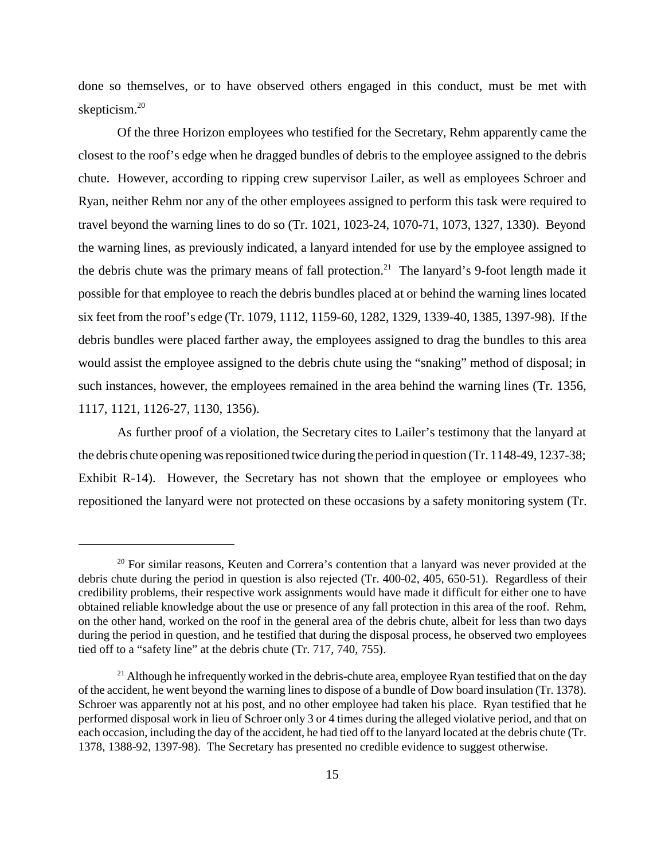done so themselves, or to have observed others engaged in this conduct, must be met with skepticism.<sup>20</sup>

Of the three Horizon employees who testified for the Secretary, Rehm apparently came the closest to the roof's edge when he dragged bundles of debris to the employee assigned to the debris chute. However, according to ripping crew supervisor Lailer, as well as employees Schroer and Ryan, neither Rehm nor any of the other employees assigned to perform this task were required to travel beyond the warning lines to do so (Tr. 1021, 1023-24, 1070-71, 1073, 1327, 1330). Beyond the warning lines, as previously indicated, a lanyard intended for use by the employee assigned to the debris chute was the primary means of fall protection.<sup>21</sup> The lanyard's 9-foot length made it possible for that employee to reach the debris bundles placed at or behind the warning lines located six feet from the roof's edge (Tr. 1079, 1112, 1159-60, 1282, 1329, 1339-40, 1385, 1397-98). If the debris bundles were placed farther away, the employees assigned to drag the bundles to this area would assist the employee assigned to the debris chute using the "snaking" method of disposal; in such instances, however, the employees remained in the area behind the warning lines (Tr. 1356, 1117, 1121, 1126-27, 1130, 1356).

As further proof of a violation, the Secretary cites to Lailer's testimony that the lanyard at the debris chute opening was repositioned twice during the period in question (Tr. 1148-49, 1237-38; Exhibit R-14). However, the Secretary has not shown that the employee or employees who repositioned the lanyard were not protected on these occasions by a safety monitoring system (Tr.

 $20$  For similar reasons, Keuten and Correra's contention that a lanyard was never provided at the debris chute during the period in question is also rejected (Tr. 400-02, 405, 650-51). Regardless of their credibility problems, their respective work assignments would have made it difficult for either one to have obtained reliable knowledge about the use or presence of any fall protection in this area of the roof. Rehm, on the other hand, worked on the roof in the general area of the debris chute, albeit for less than two days during the period in question, and he testified that during the disposal process, he observed two employees tied off to a "safety line" at the debris chute (Tr. 717, 740, 755).

<sup>&</sup>lt;sup>21</sup> Although he infrequently worked in the debris-chute area, employee Ryan testified that on the day of the accident, he went beyond the warning lines to dispose of a bundle of Dow board insulation (Tr. 1378). Schroer was apparently not at his post, and no other employee had taken his place. Ryan testified that he performed disposal work in lieu of Schroer only 3 or 4 times during the alleged violative period, and that on each occasion, including the day of the accident, he had tied off to the lanyard located at the debris chute (Tr. 1378, 1388-92, 1397-98). The Secretary has presented no credible evidence to suggest otherwise.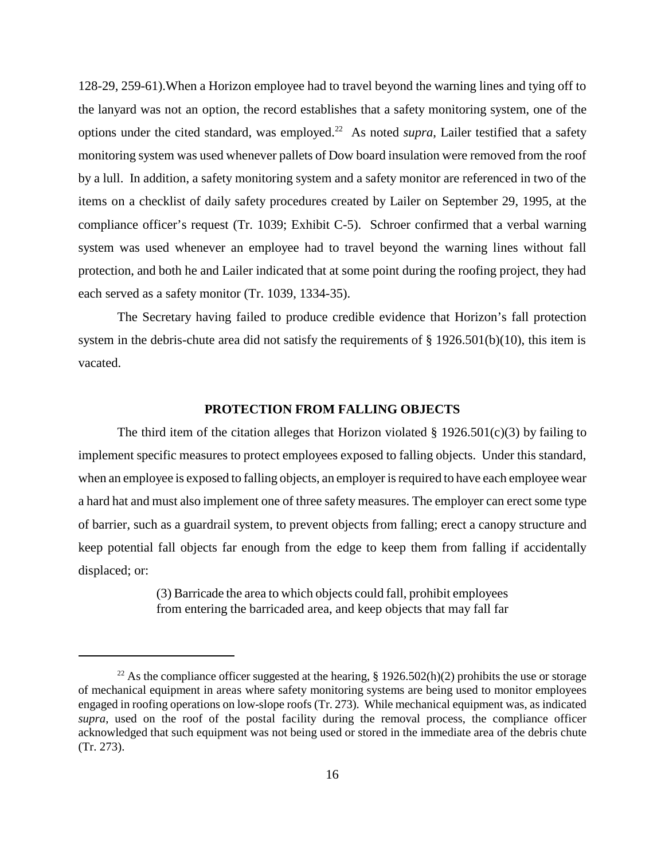128-29, 259-61).When a Horizon employee had to travel beyond the warning lines and tying off to the lanyard was not an option, the record establishes that a safety monitoring system, one of the options under the cited standard, was employed.<sup>22</sup> As noted *supra*, Lailer testified that a safety monitoring system was used whenever pallets of Dow board insulation were removed from the roof by a lull. In addition, a safety monitoring system and a safety monitor are referenced in two of the items on a checklist of daily safety procedures created by Lailer on September 29, 1995, at the compliance officer's request (Tr. 1039; Exhibit C-5). Schroer confirmed that a verbal warning system was used whenever an employee had to travel beyond the warning lines without fall protection, and both he and Lailer indicated that at some point during the roofing project, they had each served as a safety monitor (Tr. 1039, 1334-35).

The Secretary having failed to produce credible evidence that Horizon's fall protection system in the debris-chute area did not satisfy the requirements of  $\S$  1926.501(b)(10), this item is vacated.

## **PROTECTION FROM FALLING OBJECTS**

The third item of the citation alleges that Horizon violated  $\S$  1926.501(c)(3) by failing to implement specific measures to protect employees exposed to falling objects. Under this standard, when an employee is exposed to falling objects, an employer is required to have each employee wear a hard hat and must also implement one of three safety measures. The employer can erect some type of barrier, such as a guardrail system, to prevent objects from falling; erect a canopy structure and keep potential fall objects far enough from the edge to keep them from falling if accidentally displaced; or:

> (3) Barricade the area to which objects could fall, prohibit employees from entering the barricaded area, and keep objects that may fall far

<sup>&</sup>lt;sup>22</sup> As the compliance officer suggested at the hearing, § 1926.502(h)(2) prohibits the use or storage of mechanical equipment in areas where safety monitoring systems are being used to monitor employees engaged in roofing operations on low-slope roofs (Tr. 273). While mechanical equipment was, as indicated *supra*, used on the roof of the postal facility during the removal process, the compliance officer acknowledged that such equipment was not being used or stored in the immediate area of the debris chute (Tr. 273).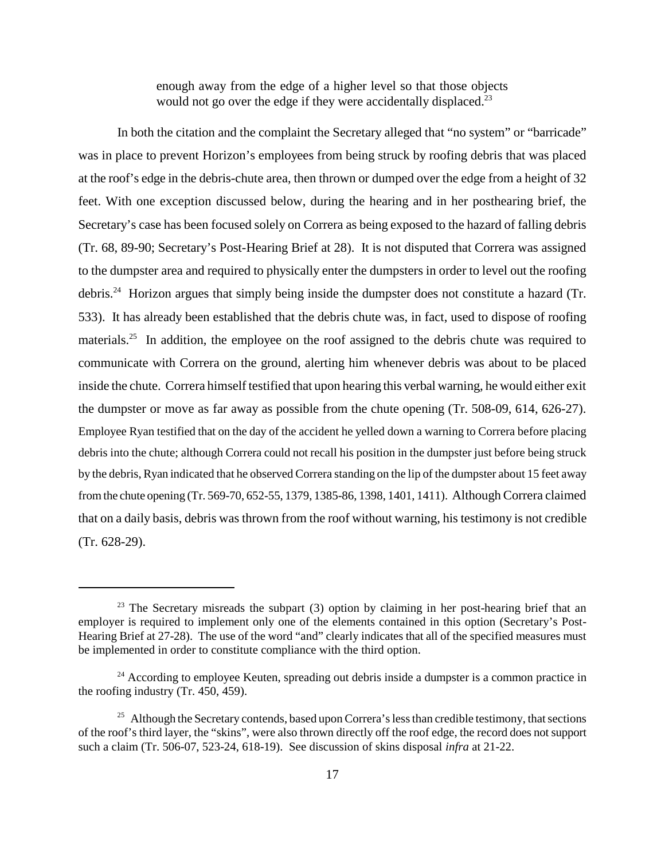enough away from the edge of a higher level so that those objects would not go over the edge if they were accidentally displaced. $^{23}$ 

In both the citation and the complaint the Secretary alleged that "no system" or "barricade" was in place to prevent Horizon's employees from being struck by roofing debris that was placed at the roof's edge in the debris-chute area, then thrown or dumped over the edge from a height of 32 feet. With one exception discussed below, during the hearing and in her posthearing brief, the Secretary's case has been focused solely on Correra as being exposed to the hazard of falling debris (Tr. 68, 89-90; Secretary's Post-Hearing Brief at 28). It is not disputed that Correra was assigned to the dumpster area and required to physically enter the dumpsters in order to level out the roofing debris.24 Horizon argues that simply being inside the dumpster does not constitute a hazard (Tr. 533). It has already been established that the debris chute was, in fact, used to dispose of roofing materials.<sup>25</sup> In addition, the employee on the roof assigned to the debris chute was required to communicate with Correra on the ground, alerting him whenever debris was about to be placed inside the chute. Correra himself testified that upon hearing this verbal warning, he would either exit the dumpster or move as far away as possible from the chute opening (Tr. 508-09, 614, 626-27). Employee Ryan testified that on the day of the accident he yelled down a warning to Correra before placing debris into the chute; although Correra could not recall his position in the dumpster just before being struck by the debris, Ryan indicated that he observed Correra standing on the lip of the dumpster about 15 feet away from the chute opening (Tr. 569-70, 652-55, 1379, 1385-86, 1398, 1401, 1411). Although Correra claimed that on a daily basis, debris was thrown from the roof without warning, his testimony is not credible (Tr. 628-29).

 $23$  The Secretary misreads the subpart (3) option by claiming in her post-hearing brief that an employer is required to implement only one of the elements contained in this option (Secretary's Post-Hearing Brief at 27-28). The use of the word "and" clearly indicates that all of the specified measures must be implemented in order to constitute compliance with the third option.

<sup>&</sup>lt;sup>24</sup> According to employee Keuten, spreading out debris inside a dumpster is a common practice in the roofing industry (Tr. 450, 459).

<sup>&</sup>lt;sup>25</sup> Although the Secretary contends, based upon Correra's less than credible testimony, that sections of the roof's third layer, the "skins", were also thrown directly off the roof edge, the record does not support such a claim (Tr. 506-07, 523-24, 618-19). See discussion of skins disposal *infra* at 21-22.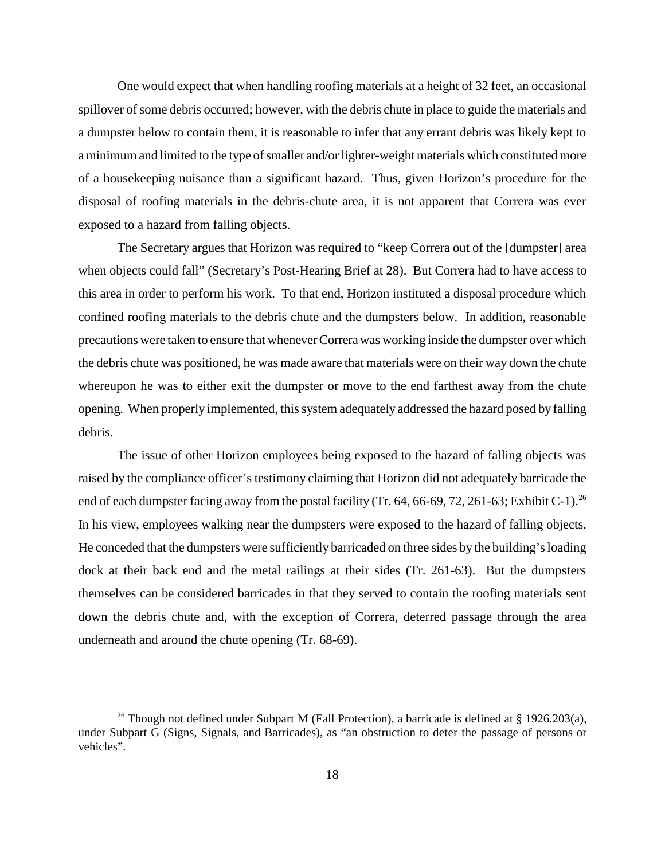One would expect that when handling roofing materials at a height of 32 feet, an occasional spillover of some debris occurred; however, with the debris chute in place to guide the materials and a dumpster below to contain them, it is reasonable to infer that any errant debris was likely kept to a minimum and limited to the type of smaller and/or lighter-weight materials which constituted more of a housekeeping nuisance than a significant hazard. Thus, given Horizon's procedure for the disposal of roofing materials in the debris-chute area, it is not apparent that Correra was ever exposed to a hazard from falling objects.

The Secretary argues that Horizon was required to "keep Correra out of the [dumpster] area when objects could fall" (Secretary's Post-Hearing Brief at 28). But Correra had to have access to this area in order to perform his work. To that end, Horizon instituted a disposal procedure which confined roofing materials to the debris chute and the dumpsters below. In addition, reasonable precautions were taken to ensure that whenever Correra was working inside the dumpster over which the debris chute was positioned, he was made aware that materials were on their way down the chute whereupon he was to either exit the dumpster or move to the end farthest away from the chute opening. When properly implemented, this system adequately addressed the hazard posed by falling debris.

The issue of other Horizon employees being exposed to the hazard of falling objects was raised by the compliance officer's testimony claiming that Horizon did not adequately barricade the end of each dumpster facing away from the postal facility (Tr. 64, 66-69, 72, 261-63; Exhibit C-1).<sup>26</sup> In his view, employees walking near the dumpsters were exposed to the hazard of falling objects. He conceded that the dumpsters were sufficiently barricaded on three sides by the building's loading dock at their back end and the metal railings at their sides (Tr. 261-63). But the dumpsters themselves can be considered barricades in that they served to contain the roofing materials sent down the debris chute and, with the exception of Correra, deterred passage through the area underneath and around the chute opening (Tr. 68-69).

<sup>&</sup>lt;sup>26</sup> Though not defined under Subpart M (Fall Protection), a barricade is defined at § 1926.203(a), under Subpart G (Signs, Signals, and Barricades), as "an obstruction to deter the passage of persons or vehicles".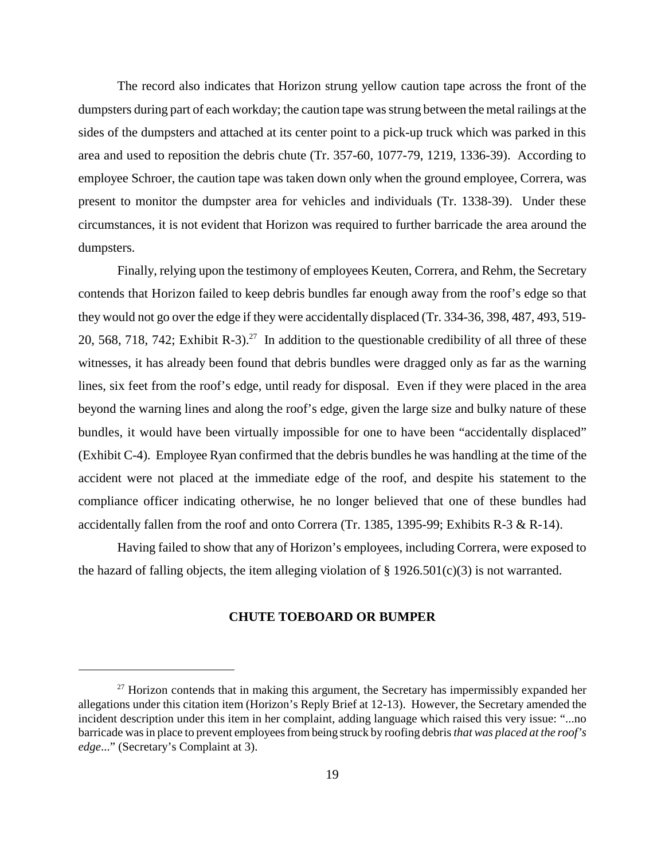The record also indicates that Horizon strung yellow caution tape across the front of the dumpsters during part of each workday; the caution tape was strung between the metal railings at the sides of the dumpsters and attached at its center point to a pick-up truck which was parked in this area and used to reposition the debris chute (Tr. 357-60, 1077-79, 1219, 1336-39). According to employee Schroer, the caution tape was taken down only when the ground employee, Correra, was present to monitor the dumpster area for vehicles and individuals (Tr. 1338-39). Under these circumstances, it is not evident that Horizon was required to further barricade the area around the dumpsters.

Finally, relying upon the testimony of employees Keuten, Correra, and Rehm, the Secretary contends that Horizon failed to keep debris bundles far enough away from the roof's edge so that they would not go over the edge if they were accidentally displaced (Tr. 334-36, 398, 487, 493, 519- 20, 568, 718, 742; Exhibit R-3).<sup>27</sup> In addition to the questionable credibility of all three of these witnesses, it has already been found that debris bundles were dragged only as far as the warning lines, six feet from the roof's edge, until ready for disposal. Even if they were placed in the area beyond the warning lines and along the roof's edge, given the large size and bulky nature of these bundles, it would have been virtually impossible for one to have been "accidentally displaced" (Exhibit C-4). Employee Ryan confirmed that the debris bundles he was handling at the time of the accident were not placed at the immediate edge of the roof, and despite his statement to the compliance officer indicating otherwise, he no longer believed that one of these bundles had accidentally fallen from the roof and onto Correra (Tr. 1385, 1395-99; Exhibits R-3  $\&$  R-14).

Having failed to show that any of Horizon's employees, including Correra, were exposed to the hazard of falling objects, the item alleging violation of  $\S 1926.501(c)(3)$  is not warranted.

### **CHUTE TOEBOARD OR BUMPER**

 $27$  Horizon contends that in making this argument, the Secretary has impermissibly expanded her allegations under this citation item (Horizon's Reply Brief at 12-13). However, the Secretary amended the incident description under this item in her complaint, adding language which raised this very issue: "...no barricade was in place to prevent employees from being struck by roofing debris *that was placed at the roof's edge*..." (Secretary's Complaint at 3).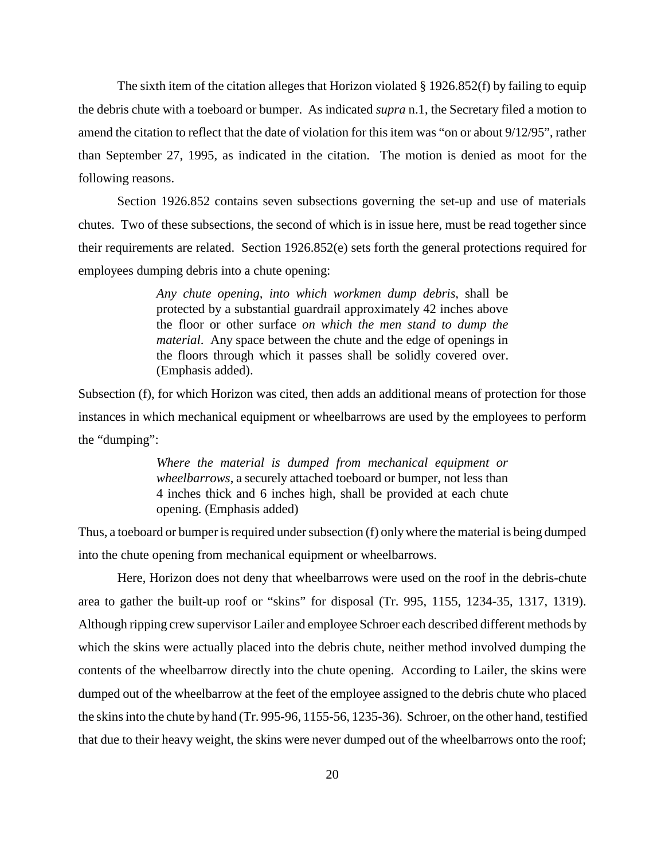The sixth item of the citation alleges that Horizon violated § 1926.852(f) by failing to equip the debris chute with a toeboard or bumper. As indicated *supra* n.1, the Secretary filed a motion to amend the citation to reflect that the date of violation for this item was "on or about 9/12/95", rather than September 27, 1995, as indicated in the citation. The motion is denied as moot for the following reasons.

Section 1926.852 contains seven subsections governing the set-up and use of materials chutes. Two of these subsections, the second of which is in issue here, must be read together since their requirements are related. Section 1926.852(e) sets forth the general protections required for employees dumping debris into a chute opening:

> *Any chute opening, into which workmen dump debris*, shall be protected by a substantial guardrail approximately 42 inches above the floor or other surface *on which the men stand to dump the material*. Any space between the chute and the edge of openings in the floors through which it passes shall be solidly covered over. (Emphasis added).

Subsection (f), for which Horizon was cited, then adds an additional means of protection for those instances in which mechanical equipment or wheelbarrows are used by the employees to perform the "dumping":

> *Where the material is dumped from mechanical equipment or wheelbarrows*, a securely attached toeboard or bumper, not less than 4 inches thick and 6 inches high, shall be provided at each chute opening. (Emphasis added)

Thus, a toeboard or bumper is required under subsection (f) only where the material is being dumped into the chute opening from mechanical equipment or wheelbarrows.

Here, Horizon does not deny that wheelbarrows were used on the roof in the debris-chute area to gather the built-up roof or "skins" for disposal (Tr. 995, 1155, 1234-35, 1317, 1319). Although ripping crew supervisor Lailer and employee Schroer each described different methods by which the skins were actually placed into the debris chute, neither method involved dumping the contents of the wheelbarrow directly into the chute opening. According to Lailer, the skins were dumped out of the wheelbarrow at the feet of the employee assigned to the debris chute who placed the skins into the chute by hand (Tr. 995-96, 1155-56, 1235-36). Schroer, on the other hand, testified that due to their heavy weight, the skins were never dumped out of the wheelbarrows onto the roof;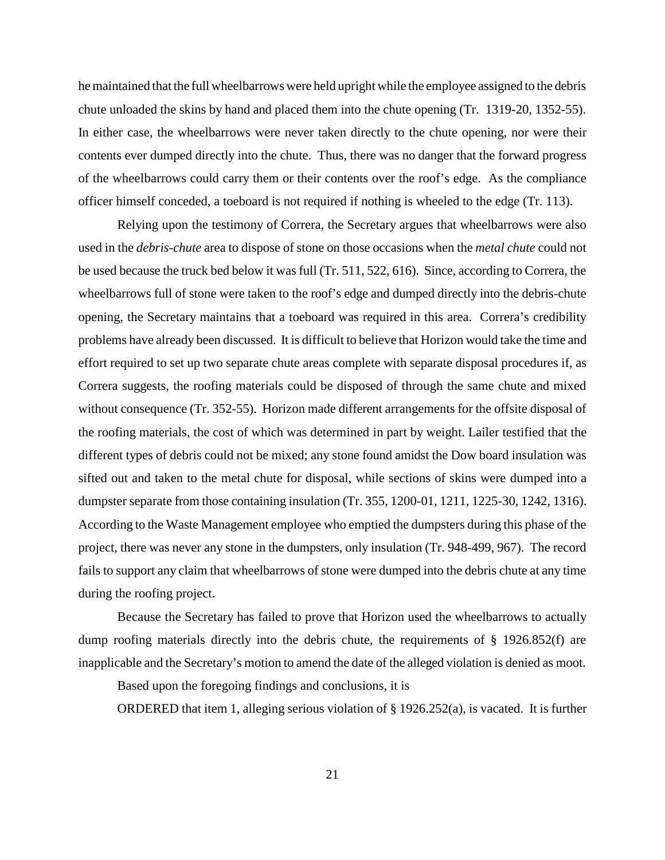he maintained that the full wheelbarrows were held upright while the employee assigned to the debris chute unloaded the skins by hand and placed them into the chute opening (Tr. 1319-20, 1352-55). In either case, the wheelbarrows were never taken directly to the chute opening, nor were their contents ever dumped directly into the chute. Thus, there was no danger that the forward progress of the wheelbarrows could carry them or their contents over the roof's edge. As the compliance officer himself conceded, a toeboard is not required if nothing is wheeled to the edge (Tr. 113).

Relying upon the testimony of Correra, the Secretary argues that wheelbarrows were also used in the *debris-chute* area to dispose of stone on those occasions when the *metal chute* could not be used because the truck bed below it was full (Tr. 511, 522, 616). Since, according to Correra, the wheelbarrows full of stone were taken to the roof's edge and dumped directly into the debris-chute opening, the Secretary maintains that a toeboard was required in this area. Correra's credibility problems have already been discussed. It is difficult to believe that Horizon would take the time and effort required to set up two separate chute areas complete with separate disposal procedures if, as Correra suggests, the roofing materials could be disposed of through the same chute and mixed without consequence (Tr. 352-55). Horizon made different arrangements for the offsite disposal of the roofing materials, the cost of which was determined in part by weight. Lailer testified that the different types of debris could not be mixed; any stone found amidst the Dow board insulation was sifted out and taken to the metal chute for disposal, while sections of skins were dumped into a dumpster separate from those containing insulation (Tr. 355, 1200-01, 1211, 1225-30, 1242, 1316). According to the Waste Management employee who emptied the dumpsters during this phase of the project, there was never any stone in the dumpsters, only insulation (Tr. 948-499, 967). The record fails to support any claim that wheelbarrows of stone were dumped into the debris chute at any time during the roofing project.

Because the Secretary has failed to prove that Horizon used the wheelbarrows to actually dump roofing materials directly into the debris chute, the requirements of § 1926.852(f) are inapplicable and the Secretary's motion to amend the date of the alleged violation is denied as moot.

Based upon the foregoing findings and conclusions, it is

ORDERED that item 1, alleging serious violation of § 1926.252(a), is vacated. It is further